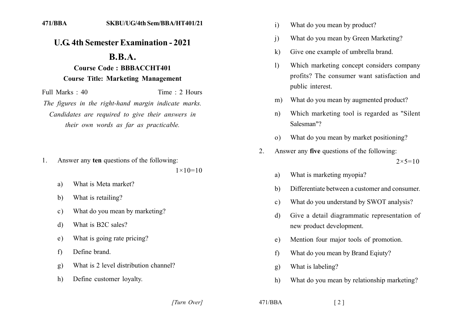## **U.G. 4th Semester Examination - 2021**

## $\mathbf{R} \cdot \mathbf{R} \cdot \mathbf{A}$ .

## **Course Code: BBBACCHT401 Course Title: Marketing Management**

Full Marks  $\cdot$  40 Time  $\cdot$  2 Hours The figures in the right-hand margin indicate marks. Candidates are required to give their answers in their own words as far as practicable.

Answer any ten questions of the following: 1.

 $1 \times 10 = 10$ 

- What is Meta market? a)
- What is retailing?  $h)$
- What do you mean by marketing?  $\mathbf{c}$ )
- What is B2C sales? d)
- What is going rate pricing?  $e)$
- Define brand.  $f$
- What is 2 level distribution channel?  $g)$
- Define customer loyalty.  $h)$
- $\mathbf{i}$ What do you mean by product?
- What do you mean by Green Marketing?  $\mathbf{i}$
- Give one example of umbrella brand.  $\bf k$
- $\mathbf{D}$ Which marketing concept considers company profits? The consumer want satisfaction and public interest.
- What do you mean by augmented product?  $m$ )
- Which marketing tool is regarded as "Silent"  $n)$ Salesman"?
- What do you mean by market positioning?  $\Omega$
- Answer any five questions of the following:  $2<sub>1</sub>$  $2 \times 5 = 10$ 
	- What is marketing myopia? a)
	- Differentiate between a customer and consumer.  $\mathbf{b}$
	- What do you understand by SWOT analysis?  $\mathbf{c}$ )
	- Give a detail diagrammatic representation of d) new product development.
	- Mention four major tools of promotion.  $e)$
	- What do you mean by Brand Equaty?  $f$
	- What is labeling?  $g)$
	- $h)$ What do you mean by relationship marketing?

[Turn Over]

 $471/BBA$